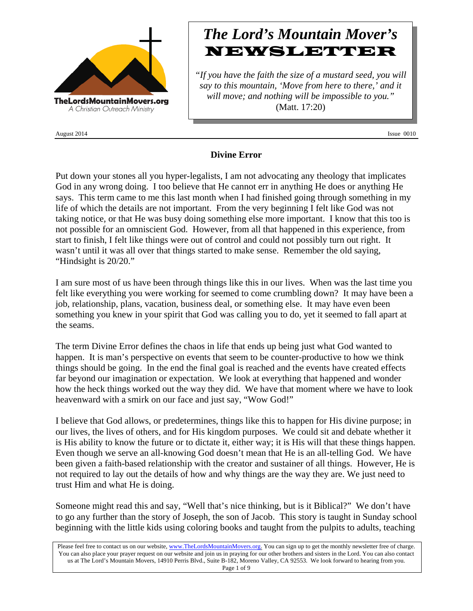

August 2014 **Issue 0010** 

# *The Lord's Mountain Mover's* **NEWSLETTER**

*"If you have the faith the size of a mustard seed, you will say to this mountain, 'Move from here to there,' and it will move; and nothing will be impossible to you."* (Matt. 17:20)

## **Divine Error**

Put down your stones all you hyper-legalists, I am not advocating any theology that implicates God in any wrong doing. I too believe that He cannot err in anything He does or anything He says. This term came to me this last month when I had finished going through something in my life of which the details are not important. From the very beginning I felt like God was not taking notice, or that He was busy doing something else more important. I know that this too is not possible for an omniscient God. However, from all that happened in this experience, from start to finish, I felt like things were out of control and could not possibly turn out right. It wasn't until it was all over that things started to make sense. Remember the old saying, "Hindsight is 20/20."

I am sure most of us have been through things like this in our lives. When was the last time you felt like everything you were working for seemed to come crumbling down? It may have been a job, relationship, plans, vacation, business deal, or something else. It may have even been something you knew in your spirit that God was calling you to do, yet it seemed to fall apart at the seams.

The term Divine Error defines the chaos in life that ends up being just what God wanted to happen. It is man's perspective on events that seem to be counter-productive to how we think things should be going. In the end the final goal is reached and the events have created effects far beyond our imagination or expectation. We look at everything that happened and wonder how the heck things worked out the way they did. We have that moment where we have to look heavenward with a smirk on our face and just say, "Wow God!"

I believe that God allows, or predetermines, things like this to happen for His divine purpose; in our lives, the lives of others, and for His kingdom purposes. We could sit and debate whether it is His ability to know the future or to dictate it, either way; it is His will that these things happen. Even though we serve an all-knowing God doesn't mean that He is an all-telling God. We have been given a faith-based relationship with the creator and sustainer of all things. However, He is not required to lay out the details of how and why things are the way they are. We just need to trust Him and what He is doing.

Someone might read this and say, "Well that's nice thinking, but is it Biblical?" We don't have to go any further than the story of Joseph, the son of Jacob. This story is taught in Sunday school beginning with the little kids using coloring books and taught from the pulpits to adults, teaching

Please feel free to contact us on our website, www.TheLordsMountainMovers.org. You can sign up to get the monthly newsletter free of charge. You can also place your prayer request on our website and join us in praying for our other brothers and sisters in the Lord. You can also contact us at The Lord's Mountain Movers, 14910 Perris Blvd., Suite B-182, Moreno Valley, CA 92553. We look forward to hearing from you. Page 1 of 9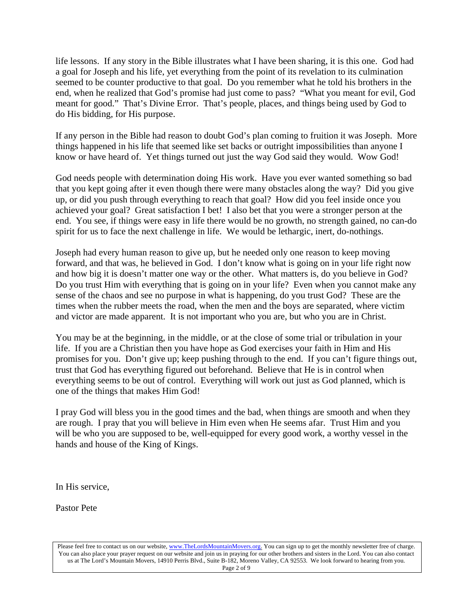life lessons. If any story in the Bible illustrates what I have been sharing, it is this one. God had a goal for Joseph and his life, yet everything from the point of its revelation to its culmination seemed to be counter productive to that goal. Do you remember what he told his brothers in the end, when he realized that God's promise had just come to pass? "What you meant for evil, God meant for good." That's Divine Error. That's people, places, and things being used by God to do His bidding, for His purpose.

If any person in the Bible had reason to doubt God's plan coming to fruition it was Joseph. More things happened in his life that seemed like set backs or outright impossibilities than anyone I know or have heard of. Yet things turned out just the way God said they would. Wow God!

God needs people with determination doing His work. Have you ever wanted something so bad that you kept going after it even though there were many obstacles along the way? Did you give up, or did you push through everything to reach that goal? How did you feel inside once you achieved your goal? Great satisfaction I bet! I also bet that you were a stronger person at the end. You see, if things were easy in life there would be no growth, no strength gained, no can-do spirit for us to face the next challenge in life. We would be lethargic, inert, do-nothings.

Joseph had every human reason to give up, but he needed only one reason to keep moving forward, and that was, he believed in God. I don't know what is going on in your life right now and how big it is doesn't matter one way or the other. What matters is, do you believe in God? Do you trust Him with everything that is going on in your life? Even when you cannot make any sense of the chaos and see no purpose in what is happening, do you trust God? These are the times when the rubber meets the road, when the men and the boys are separated, where victim and victor are made apparent. It is not important who you are, but who you are in Christ.

You may be at the beginning, in the middle, or at the close of some trial or tribulation in your life. If you are a Christian then you have hope as God exercises your faith in Him and His promises for you. Don't give up; keep pushing through to the end. If you can't figure things out, trust that God has everything figured out beforehand. Believe that He is in control when everything seems to be out of control. Everything will work out just as God planned, which is one of the things that makes Him God!

I pray God will bless you in the good times and the bad, when things are smooth and when they are rough. I pray that you will believe in Him even when He seems afar. Trust Him and you will be who you are supposed to be, well-equipped for every good work, a worthy vessel in the hands and house of the King of Kings.

In His service,

Pastor Pete

Please feel free to contact us on our website, www.TheLordsMountainMovers.org. You can sign up to get the monthly newsletter free of charge. You can also place your prayer request on our website and join us in praying for our other brothers and sisters in the Lord. You can also contact us at The Lord's Mountain Movers, 14910 Perris Blvd., Suite B-182, Moreno Valley, CA 92553. We look forward to hearing from you. Page 2 of 9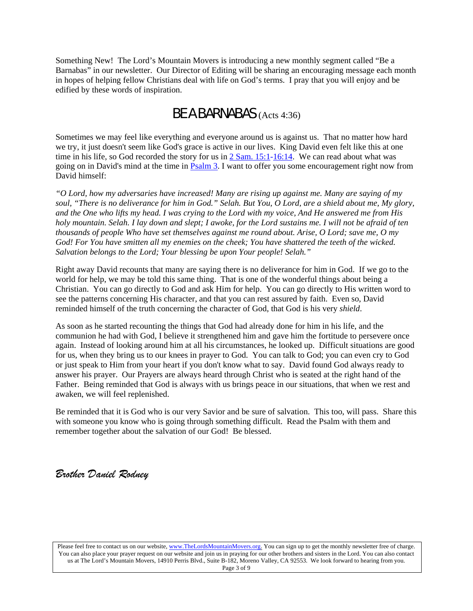Something New! The Lord's Mountain Movers is introducing a new monthly segment called "Be a Barnabas" in our newsletter. Our Director of Editing will be sharing an encouraging message each month in hopes of helping fellow Christians deal with life on God's terms. I pray that you will enjoy and be edified by these words of inspiration.

## BE A BARNABAS (Acts 4:36)

Sometimes we may feel like everything and everyone around us is against us. That no matter how hard we try, it just doesn't seem like God's grace is active in our lives. King David even felt like this at one time in his life, so God recorded the story for us in  $2 \text{ Sam. } 15:1-16:14$ . We can read about what was going on in David's mind at the time in [Psalm 3.](https://www.biblegateway.com/passage/?search=psalms+3&version=NASB) I want to offer you some encouragement right now from David himself:

*"O Lord, how my adversaries have increased! Many are rising up against me. Many are saying of my soul, "There is no deliverance for him in God." Selah. But You, O Lord, are a shield about me, My glory, and the One who lifts my head. I was crying to the Lord with my voice, And He answered me from His holy mountain. Selah. I lay down and slept; I awoke, for the Lord sustains me. I will not be afraid of ten thousands of people Who have set themselves against me round about. Arise, O Lord; save me, O my God! For You have smitten all my enemies on the cheek; You have shattered the teeth of the wicked. Salvation belongs to the Lord; Your blessing be upon Your people! Selah."*

Right away David recounts that many are saying there is no deliverance for him in God. If we go to the world for help, we may be told this same thing. That is one of the wonderful things about being a Christian. You can go directly to God and ask Him for help. You can go directly to His written word to see the patterns concerning His character, and that you can rest assured by faith. Even so, David reminded himself of the truth concerning the character of God, that God is his very *shield*.

As soon as he started recounting the things that God had already done for him in his life, and the communion he had with God, I believe it strengthened him and gave him the fortitude to persevere once again. Instead of looking around him at all his circumstances, he looked up. Difficult situations are good for us, when they bring us to our knees in prayer to God. You can talk to God; you can even cry to God or just speak to Him from your heart if you don't know what to say. David found God always ready to answer his prayer. Our Prayers are always heard through Christ who is seated at the right hand of the Father. Being reminded that God is always with us brings peace in our situations, that when we rest and awaken, we will feel replenished.

Be reminded that it is God who is our very Savior and be sure of salvation. This too, will pass. Share this with someone you know who is going through something difficult. Read the Psalm with them and remember together about the salvation of our God! Be blessed.

## *Brother Daniel Rodney*

Please feel free to contact us on our website, www.TheLordsMountainMovers.org. You can sign up to get the monthly newsletter free of charge. You can also place your prayer request on our website and join us in praying for our other brothers and sisters in the Lord. You can also contact us at The Lord's Mountain Movers, 14910 Perris Blvd., Suite B-182, Moreno Valley, CA 92553. We look forward to hearing from you. Page 3 of 9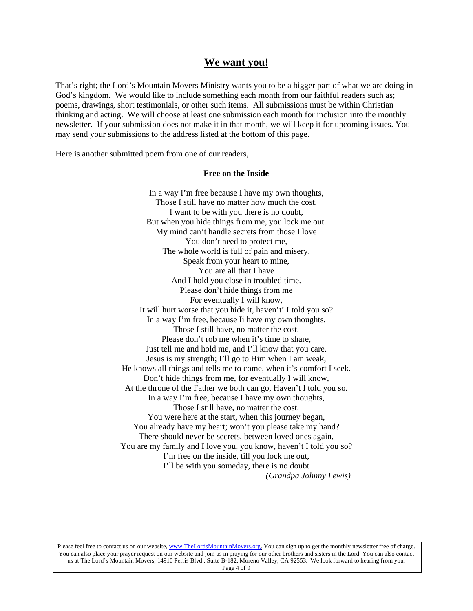### **We want you!**

That's right; the Lord's Mountain Movers Ministry wants you to be a bigger part of what we are doing in God's kingdom. We would like to include something each month from our faithful readers such as; poems, drawings, short testimonials, or other such items. All submissions must be within Christian thinking and acting. We will choose at least one submission each month for inclusion into the monthly newsletter. If your submission does not make it in that month, we will keep it for upcoming issues. You may send your submissions to the address listed at the bottom of this page.

Here is another submitted poem from one of our readers,

#### **Free on the Inside**

In a way I'm free because I have my own thoughts, Those I still have no matter how much the cost. I want to be with you there is no doubt, But when you hide things from me, you lock me out. My mind can't handle secrets from those I love You don't need to protect me, The whole world is full of pain and misery. Speak from your heart to mine, You are all that I have And I hold you close in troubled time. Please don't hide things from me For eventually I will know, It will hurt worse that you hide it, haven't' I told you so? In a way I'm free, because Ii have my own thoughts, Those I still have, no matter the cost. Please don't rob me when it's time to share, Just tell me and hold me, and I'll know that you care. Jesus is my strength; I'll go to Him when I am weak, He knows all things and tells me to come, when it's comfort I seek. Don't hide things from me, for eventually I will know, At the throne of the Father we both can go, Haven't I told you so. In a way I'm free, because I have my own thoughts, Those I still have, no matter the cost. You were here at the start, when this journey began, You already have my heart; won't you please take my hand? There should never be secrets, between loved ones again, You are my family and I love you, you know, haven't I told you so? I'm free on the inside, till you lock me out, I'll be with you someday, there is no doubt *(Grandpa Johnny Lewis)*

Please feel free to contact us on our website, www.TheLordsMountainMovers.org. You can sign up to get the monthly newsletter free of charge. You can also place your prayer request on our website and join us in praying for our other brothers and sisters in the Lord. You can also contact us at The Lord's Mountain Movers, 14910 Perris Blvd., Suite B-182, Moreno Valley, CA 92553. We look forward to hearing from you. Page 4 of 9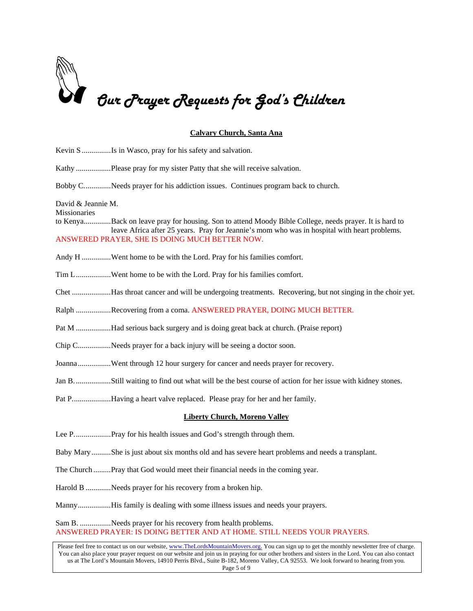

#### **Calvary Church, Santa Ana**

| Kevin S Is in Wasco, pray for his safety and salvation.                                                                                                                                                                                                                                           |  |  |
|---------------------------------------------------------------------------------------------------------------------------------------------------------------------------------------------------------------------------------------------------------------------------------------------------|--|--|
| Kathy Please pray for my sister Patty that she will receive salvation.                                                                                                                                                                                                                            |  |  |
| Bobby CNeeds prayer for his addiction issues. Continues program back to church.                                                                                                                                                                                                                   |  |  |
| David & Jeannie M.<br>Missionaries<br>to KenyaBack on leave pray for housing. Son to attend Moody Bible College, needs prayer. It is hard to<br>leave Africa after 25 years. Pray for Jeannie's mom who was in hospital with heart problems.<br>ANSWERED PRAYER, SHE IS DOING MUCH BETTER NOW.    |  |  |
| Andy H Went home to be with the Lord. Pray for his families comfort.                                                                                                                                                                                                                              |  |  |
| Tim LWent home to be with the Lord. Pray for his families comfort.                                                                                                                                                                                                                                |  |  |
| Chet Has throat cancer and will be undergoing treatments. Recovering, but not singing in the choir yet.                                                                                                                                                                                           |  |  |
| Ralph Recovering from a coma. ANSWERED PRAYER, DOING MUCH BETTER.                                                                                                                                                                                                                                 |  |  |
| Pat M Had serious back surgery and is doing great back at church. (Praise report)                                                                                                                                                                                                                 |  |  |
| Chip CNeeds prayer for a back injury will be seeing a doctor soon.                                                                                                                                                                                                                                |  |  |
| JoannaWent through 12 hour surgery for cancer and needs prayer for recovery.                                                                                                                                                                                                                      |  |  |
|                                                                                                                                                                                                                                                                                                   |  |  |
| Pat PHaving a heart valve replaced. Please pray for her and her family.                                                                                                                                                                                                                           |  |  |
| <b>Liberty Church, Moreno Valley</b>                                                                                                                                                                                                                                                              |  |  |
|                                                                                                                                                                                                                                                                                                   |  |  |
| Baby Mary She is just about six months old and has severe heart problems and needs a transplant.                                                                                                                                                                                                  |  |  |
| The Church Pray that God would meet their financial needs in the coming year.                                                                                                                                                                                                                     |  |  |
| Harold B Needs prayer for his recovery from a broken hip.                                                                                                                                                                                                                                         |  |  |
| MannyHis family is dealing with some illness issues and needs your prayers.                                                                                                                                                                                                                       |  |  |
| Sam B. Needs prayer for his recovery from health problems.<br>ANSWERED PRAYER: IS DOING BETTER AND AT HOME. STILL NEEDS YOUR PRAYERS.                                                                                                                                                             |  |  |
| Please feel free to contact us on our website, www.TheLordsMountainMovers.org. You can sign up to get the monthly newsletter free of charge.<br>You can also place your prayer request on our website and join us in praying for our other brothers and sisters in the Lord. You can also contact |  |  |

us at The Lord's Mountain Movers, 14910 Perris Blvd., Suite B-182, Moreno Valley, CA 92553. We look forward to hearing from you. Page 5 of 9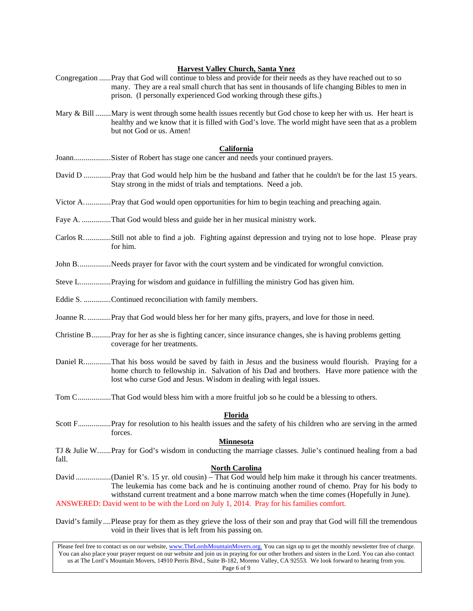#### **Harvest Valley Church, Santa Ynez**

- Congregation ......Pray that God will continue to bless and provide for their needs as they have reached out to so many. They are a real small church that has sent in thousands of life changing Bibles to men in prison. (I personally experienced God working through these gifts.)
- Mary & Bill ........Mary is went through some health issues recently but God chose to keep her with us. Her heart is healthy and we know that it is filled with God's love. The world might have seen that as a problem but not God or us. Amen!

#### **California**

- Joann...................Sister of Robert has stage one cancer and needs your continued prayers.
- David D ..............Pray that God would help him be the husband and father that he couldn't be for the last 15 years. Stay strong in the midst of trials and temptations. Need a job.
- Victor A..............Pray that God would open opportunities for him to begin teaching and preaching again.
- Faye A. ...............That God would bless and guide her in her musical ministry work.
- Carlos R..............Still not able to find a job. Fighting against depression and trying not to lose hope. Please pray for him.
- John B.................Needs prayer for favor with the court system and be vindicated for wrongful conviction.
- Steve L................Praying for wisdom and guidance in fulfilling the ministry God has given him.
- Eddie S. ..............Continued reconciliation with family members.
- Joanne R. ............Pray that God would bless her for her many gifts, prayers, and love for those in need.
- Christine B..........Pray for her as she is fighting cancer, since insurance changes, she is having problems getting coverage for her treatments.
- Daniel R..............That his boss would be saved by faith in Jesus and the business would flourish. Praying for a home church to fellowship in. Salvation of his Dad and brothers. Have more patience with the lost who curse God and Jesus. Wisdom in dealing with legal issues.
- Tom C.................That God would bless him with a more fruitful job so he could be a blessing to others.

#### **Florida**

Scott F.................Pray for resolution to his health issues and the safety of his children who are serving in the armed forces.

#### **Minnesota**

TJ & Julie W.......Pray for God's wisdom in conducting the marriage classes. Julie's continued healing from a bad fall.

#### **North Carolina**

David ..................(Daniel R's. 15 yr. old cousin) – That God would help him make it through his cancer treatments. The leukemia has come back and he is continuing another round of chemo. Pray for his body to withstand current treatment and a bone marrow match when the time comes (Hopefully in June). ANSWERED: David went to be with the Lord on July 1, 2014. Pray for his families comfort.

David's family ....Please pray for them as they grieve the loss of their son and pray that God will fill the tremendous void in their lives that is left from his passing on.

Please feel free to contact us on our website, www.TheLordsMountainMovers.org. You can sign up to get the monthly newsletter free of charge. You can also place your prayer request on our website and join us in praying for our other brothers and sisters in the Lord. You can also contact us at The Lord's Mountain Movers, 14910 Perris Blvd., Suite B-182, Moreno Valley, CA 92553. We look forward to hearing from you. Page 6 of 9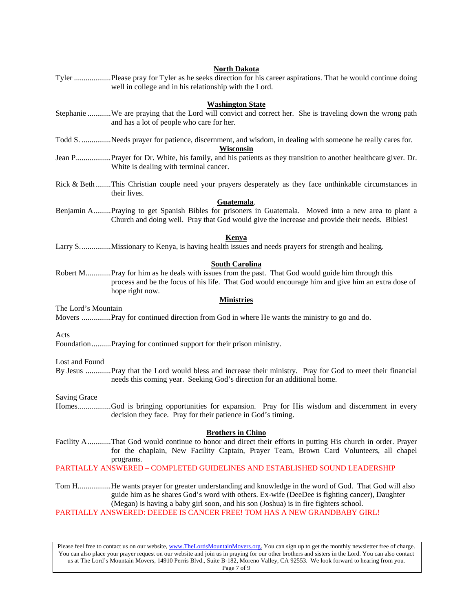|                         | North Dakota                                                                                                                                                         |  |
|-------------------------|----------------------------------------------------------------------------------------------------------------------------------------------------------------------|--|
|                         | Tyler Please pray for Tyler as he seeks direction for his career aspirations. That he would continue doing<br>well in college and in his relationship with the Lord. |  |
|                         |                                                                                                                                                                      |  |
| <b>Washington State</b> |                                                                                                                                                                      |  |
|                         | Stephanie We are praying that the Lord will convict and correct her. She is traveling down the wrong path                                                            |  |
|                         | and has a lot of people who care for her.                                                                                                                            |  |
|                         | Todd S. Needs prayer for patience, discernment, and wisdom, in dealing with someone he really cares for.                                                             |  |
|                         | <b>Wisconsin</b>                                                                                                                                                     |  |
|                         | Jean PPrayer for Dr. White, his family, and his patients as they transition to another healthcare giver. Dr.                                                         |  |
|                         | White is dealing with terminal cancer.                                                                                                                               |  |
|                         | Rick & BethThis Christian couple need your prayers desperately as they face unthinkable circumstances in                                                             |  |
|                         | their lives.                                                                                                                                                         |  |
|                         | Guatemala.                                                                                                                                                           |  |
|                         | Benjamin APraying to get Spanish Bibles for prisoners in Guatemala. Moved into a new area to plant a                                                                 |  |
|                         | Church and doing well. Pray that God would give the increase and provide their needs. Bibles!                                                                        |  |
|                         | <b>Kenya</b>                                                                                                                                                         |  |
|                         | Larry SMissionary to Kenya, is having health issues and needs prayers for strength and healing.                                                                      |  |
|                         |                                                                                                                                                                      |  |
|                         | <b>South Carolina</b>                                                                                                                                                |  |
|                         | Robert MPray for him as he deals with issues from the past. That God would guide him through this                                                                    |  |
|                         | process and be the focus of his life. That God would encourage him and give him an extra dose of<br>hope right now.                                                  |  |
| <b>Ministries</b>       |                                                                                                                                                                      |  |
| The Lord's Mountain     |                                                                                                                                                                      |  |
|                         | Movers Pray for continued direction from God in where He wants the ministry to go and do.                                                                            |  |
|                         |                                                                                                                                                                      |  |
| Acts                    |                                                                                                                                                                      |  |
|                         | FoundationPraying for continued support for their prison ministry.                                                                                                   |  |
| Lost and Found          |                                                                                                                                                                      |  |
|                         | By Jesus Pray that the Lord would bless and increase their ministry. Pray for God to meet their financial                                                            |  |
|                         | needs this coming year. Seeking God's direction for an additional home.                                                                                              |  |
|                         |                                                                                                                                                                      |  |
| <b>Saving Grace</b>     |                                                                                                                                                                      |  |
|                         | HomesGod is bringing opportunities for expansion. Pray for His wisdom and discernment in every<br>decision they face. Pray for their patience in God's timing.       |  |
|                         |                                                                                                                                                                      |  |
|                         | <b>Brothers in Chino</b>                                                                                                                                             |  |
|                         | Facility AThat God would continue to honor and direct their efforts in putting His church in order. Prayer                                                           |  |
|                         | for the chaplain, New Facility Captain, Prayer Team, Brown Card Volunteers, all chapel                                                                               |  |
|                         | programs.<br>PARTIALLY ANSWERED - COMPLETED GUIDELINES AND ESTABLISHED SOUND LEADERSHIP                                                                              |  |
|                         |                                                                                                                                                                      |  |
|                         | Tom HHe wants prayer for greater understanding and knowledge in the word of God. That God will also                                                                  |  |
|                         | guide him as he shares God's word with others. Ex-wife (DeeDee is fighting cancer), Daughter                                                                         |  |
|                         | (Megan) is having a baby girl soon, and his son (Joshua) is in fire fighters school.                                                                                 |  |
|                         | PARTIALLY ANSWERED: DEEDEE IS CANCER FREE! TOM HAS A NEW GRANDBABY GIRL!                                                                                             |  |
|                         |                                                                                                                                                                      |  |
|                         |                                                                                                                                                                      |  |
|                         | Please feel free to contact us on our website, www.TheLordsMountainMovers.org. You can sign up to get the monthly newsletter free of charge.                         |  |

You can also place your prayer request on our website and join us in praying for our other brothers and sisters in the Lord. You can also contact us at The Lord's Mountain Movers, 14910 Perris Blvd., Suite B-182, Moreno Valley, CA 92553. We look forward to hearing from you. Page 7 of 9

## **North Dakota**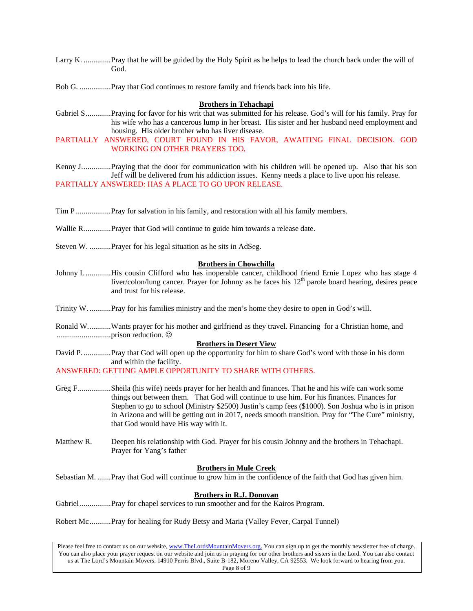Larry K. ..............Pray that he will be guided by the Holy Spirit as he helps to lead the church back under the will of God.

Bob G. ................Pray that God continues to restore family and friends back into his life.

#### **Brothers in Tehachapi**

Gabriel S.............Praying for favor for his writ that was submitted for his release. God's will for his family. Pray for his wife who has a cancerous lump in her breast. His sister and her husband need employment and housing. His older brother who has liver disease.

PARTIALLY ANSWERED, COURT FOUND IN HIS FAVOR, AWAITING FINAL DECISION. GOD WORKING ON OTHER PRAYERS TOO,

Kenny J...............Praying that the door for communication with his children will be opened up. Also that his son Jeff will be delivered from his addiction issues. Kenny needs a place to live upon his release. PARTIALLY ANSWERED: HAS A PLACE TO GO UPON RELEASE.

Tim P ..................Pray for salvation in his family, and restoration with all his family members.

Wallie R..............Prayer that God will continue to guide him towards a release date.

Steven W. ...........Prayer for his legal situation as he sits in AdSeg.

#### **Brothers in Chowchilla**

Johnny L .............His cousin Clifford who has inoperable cancer, childhood friend Ernie Lopez who has stage 4 liver/colon/lung cancer. Prayer for Johnny as he faces his  $12<sup>th</sup>$  parole board hearing, desires peace and trust for his release.

Trinity W. ...........Pray for his families ministry and the men's home they desire to open in God's will.

Ronald W............Wants prayer for his mother and girlfriend as they travel. Financing for a Christian home, and ............................prison reduction.

#### **Brothers in Desert View**

David P. ..............Pray that God will open up the opportunity for him to share God's word with those in his dorm and within the facility.

ANSWERED: GETTING AMPLE OPPORTUNITY TO SHARE WITH OTHERS.

- Greg F.................Sheila (his wife) needs prayer for her health and finances. That he and his wife can work some things out between them. That God will continue to use him. For his finances. Finances for Stephen to go to school (Ministry \$2500) Justin's camp fees (\$1000). Son Joshua who is in prison in Arizona and will be getting out in 2017, needs smooth transition. Pray for "The Cure" ministry, that God would have His way with it.
- Matthew R. Deepen his relationship with God. Prayer for his cousin Johnny and the brothers in Tehachapi. Prayer for Yang's father

#### **Brothers in Mule Creek**

Sebastian M. .......Pray that God will continue to grow him in the confidence of the faith that God has given him.

#### **Brothers in R.J. Donovan**

Gabriel ................Pray for chapel services to run smoother and for the Kairos Program.

Robert Mc...........Pray for healing for Rudy Betsy and Maria (Valley Fever, Carpal Tunnel)

Please feel free to contact us on our website, www.TheLordsMountainMovers.org. You can sign up to get the monthly newsletter free of charge. You can also place your prayer request on our website and join us in praying for our other brothers and sisters in the Lord. You can also contact us at The Lord's Mountain Movers, 14910 Perris Blvd., Suite B-182, Moreno Valley, CA 92553. We look forward to hearing from you. Page 8 of 9